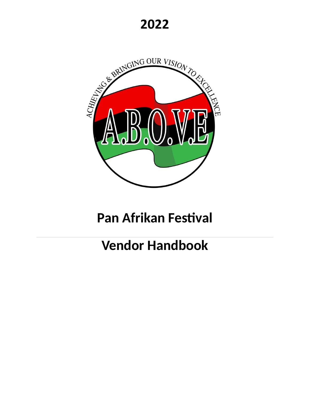**2022**



# **Pan Afrikan Festival**

# **Vendor Handbook**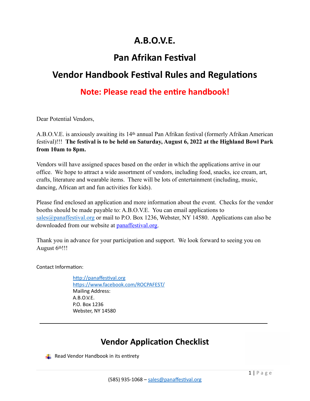## **A.B.O.V.E.**

### **Pan Afrikan Festival**

### **Vendor Handbook Festival Rules and Regulations**

### **Note: Please read the entire handbook!**

Dear Potential Vendors,

A.B.O.V.E. is anxiously awaiting its 14th annual Pan Afrikan festival (formerly Afrikan American festival)!!! **The festival is to be held on Saturday, August 6, 2022 at the Highland Bowl Park from 10am to 8pm.** 

Vendors will have assigned spaces based on the order in which the applications arrive in our office. We hope to attract a wide assortment of vendors, including food, snacks, ice cream, art, crafts, literature and wearable items. There will be lots of entertainment (including, music, dancing, African art and fun activities for kids).

Please find enclosed an application and more information about the event. Checks for the vendor booths should be made payable to: A.B.O.V.E. You can email applications to [sales@panaffestival.org](mailto:sales@panaffestival.org) or mail to P.O. Box 1236, Webster, NY 14580. Applications can also be downloaded from our website at **panaffestival.org**.

Thank you in advance for your participation and support. We look forward to seeing you on August 6th!!!

Contact Information:

<http://panaffestival.org> <https://www.facebook.com/ROCPAFEST/> Mailing Address: A.B.O.V.E. P.O. Box 1236 Webster, NY 14580

### **Vendor Application Checklist**

Read Vendor Handbook in its entirety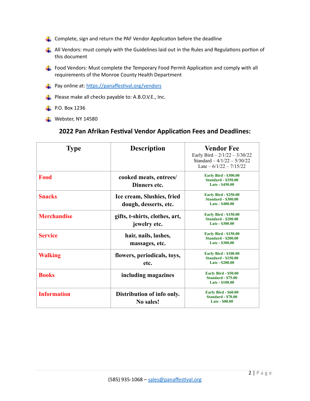- $\Box$  Complete, sign and return the PAF Vendor Application before the deadline
- $\Box$  All Vendors: must comply with the Guidelines laid out in the Rules and Regulations portion of this document
- Food Vendors: Must complete the Temporary Food Permit Application and comply with all requirements of the Monroe County Health Department
- **Pay online at:** <https://panaffestival.org/vendors>
- **Please make all checks payable to:** A.B.O.V.E., Inc.
- $\blacksquare$  P.O. Box 1236
- $\blacksquare$  Webster, NY 14580

#### **2022 Pan Afrikan Festival Vendor Application Fees and Deadlines:**

| <b>Type</b>        | <b>Description</b>                                  | <b>Vendor Fee</b><br>Early Bird $-2/1/22 - 3/30/22$<br>Standard $-4/1/22 - 5/30/22$<br>Late $-6/1/22 - 7/15/22$ |
|--------------------|-----------------------------------------------------|-----------------------------------------------------------------------------------------------------------------|
| Food               | cooked meats, entrees/<br>Dinners etc.              | <b>Early Bird - \$300.00</b><br><b>Standard - \$350.00</b><br>Late - \$450.00                                   |
| <b>Snacks</b>      | Ice cream, Slushies, fried<br>dough, desserts, etc. | <b>Early Bird - \$250.00</b><br><b>Standard - \$300.00</b><br>Late - \$400.00                                   |
| <b>Merchandise</b> | gifts, t-shirts, clothes, art,<br>jewelry etc.      | <b>Early Bird - \$150.00</b><br><b>Standard - \$200.00</b><br>Late - \$300.00                                   |
| <b>Service</b>     | hair, nails, lashes,<br>massages, etc.              | <b>Early Bird - \$150.00</b><br><b>Standard - \$200.00</b><br>Late - \$300.00                                   |
| <b>Walking</b>     | flowers, periodicals, toys,<br>etc.                 | <b>Early Bird - \$100.00</b><br><b>Standard - \$150.00</b><br>Late - \$200.00                                   |
| <b>Books</b>       | including magazines                                 | <b>Early Bird - \$50.00</b><br><b>Standard - \$75.00</b><br>Late - \$100.00                                     |
| <b>Information</b> | Distribution of info only.<br>No sales!             | <b>Early Bird - \$60.00</b><br><b>Standard - \$70.00</b><br><b>Late - \$80.00</b>                               |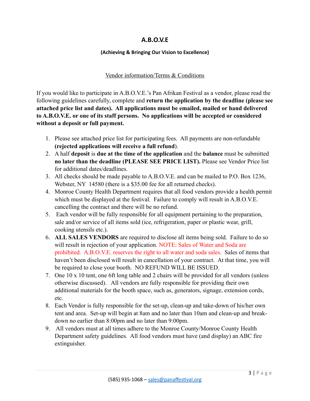#### **A.B.O.V.E**

#### **(Achieving & Bringing Our Vision to Excellence)**

#### Vendor information/Terms & Conditions

If you would like to participate in A.B.O.V.E.'s Pan Afrikan Festival as a vendor, please read the following guidelines carefully, complete and **return the application by the deadline (please see attached price list and dates). All applications must be emailed, mailed or hand delivered to A.B.O.V.E. or one of its staff persons. No applications will be accepted or considered without a deposit or full payment.** 

- 1. Please see attached price list for participating fees. All payments are non-refundable **(rejected applications will receive a full refund**).
- 2. A half **deposit** is **due at the time of the application** and the **balance** must be submitted **no later than the deadline (PLEASE SEE PRICE LIST).** Please see Vendor Price list for additional dates/deadlines.
- 3. All checks should be made payable to A.B.O.V.E. and can be mailed to P.O. Box 1236, Webster, NY 14580 (there is a \$35.00 fee for all returned checks).
- 4. Monroe County Health Department requires that all food vendors provide a health permit which must be displayed at the festival. Failure to comply will result in A.B.O.V.E. cancelling the contract and there will be no refund.
- 5. Each vendor will be fully responsible for all equipment pertaining to the preparation, sale and/or service of all items sold (ice, refrigeration, paper or plastic wear, grill, cooking utensils etc.).
- 6. **ALL SALES VENDORS** are required to disclose all items being sold. Failure to do so will result in rejection of your application. NOTE: Sales of Water and Soda are prohibited. A.B.O.V.E. reserves the right to all water and soda sales. Sales of items that haven't been disclosed will result in cancellation of your contract. At that time, you will be required to close your booth. NO REFUND WILL BE ISSUED.
- 7. One 10 x 10 tent, one 6ft long table and 2 chairs will be provided for all vendors (unless otherwise discussed). All vendors are fully responsible for providing their own additional materials for the booth space, such as, generators, signage, extension cords, etc.
- 8. Each Vendor is fully responsible for the set-up, clean-up and take-down of his/her own tent and area. Set-up will begin at 8am and no later than 10am and clean-up and breakdown no earlier than 8:00pm and no later than 9:00pm.
- 9. All vendors must at all times adhere to the Monroe County/Monroe County Health Department safety guidelines. All food vendors must have (and display) an ABC fire extinguisher.